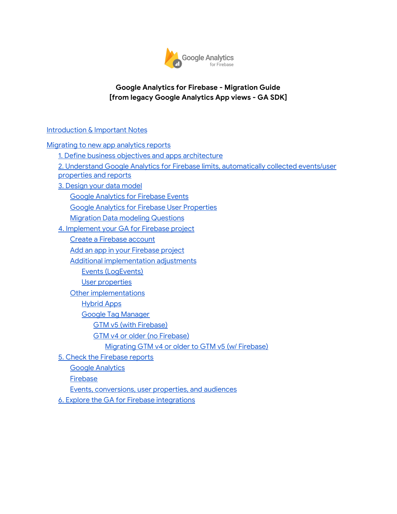

#### **Google Analytics for Firebase - Migration Guide [from legacy Google Analytics App views - GA SDK]**

#### [Introduction](#page-1-0) & Important Notes

[Migrating](#page-2-0) to new app analytics reports

1. Define business objectives and apps [architecture](#page-3-0)

- 2. Understand Google Analytics for Firebase limits, [automatically](#page-4-0) collected events/user [properties](#page-4-0) and reports
- 3. [Design](#page-5-0) your data model
	- Google [Analytics](#page-5-1) for Firebase Events
	- Google Analytics for Firebase User [Properties](#page-6-0)
	- **Migration Data modeling [Questions](#page-6-1)**
- 4. [Implement](#page-7-0) your GA for Firebase project
	- Create a [Firebase](#page-7-1) account
	- Add an app in your [Firebase](#page-7-2) project
	- Additional [implementation](#page-8-0) adjustments
		- Events [\(LogEvents\)](#page-8-1)
		- User [properties](#page-8-2)
	- Other [implementations](#page-8-3)
		- [Hybrid](#page-8-4) Apps
		- Google Tag [Manager](#page-8-5)
			- GTM v5 (with [Firebase\)](#page-9-0)
			- GTM v4 or older (no [Firebase\)](#page-9-1)
				- [Migrating](#page-9-2) GTM v4 or older to GTM v5 (w/ Firebase)
- 5. Check the [Firebase](#page-11-0) reports
	- Google [Analytics](#page-11-1)
	- **[Firebase](#page-11-2)**
	- Events, [conversions,](#page-11-3) user properties, and audiences
- 6. Explore the GA for Firebase [integrations](#page-12-0)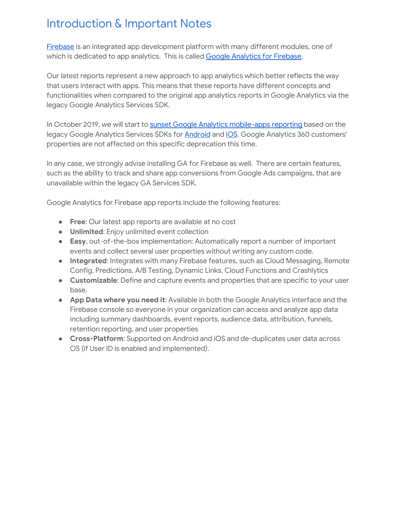# <span id="page-1-0"></span>Introduction & Important Notes

[Firebase](http://firebase.google.com/) is an integrated app development platform with many different modules, one of which is dedicated to app analytics. This is called Google [Analytics](https://firebase.google.com/docs/analytics/) for Firebase.

Our latest reports represent a new approach to app analytics which better reflects the way that users interact with apps. This means that these reports have different concepts and functionalities when compared to the original app analytics reports in Google Analytics via the legacy Google Analytics Services SDK.

In October 2019, we will start to sunset Google Analytics [mobile-apps](https://support.google.com/analytics/answer/9167112) reporting based on the legacy Google Analytics Services SDKs for **[Android](https://developers.google.com/analytics/devguides/collection/android/v4/)** and *[iOS](https://developers.google.com/analytics/devguides/collection/ios/v3/)*. Google Analytics 360 customers' properties are not affected on this specific deprecation this time.

In any case, we strongly advise installing GA for Firebase as well. There are certain features, such as the ability to track and share app conversions from Google Ads campaigns, that are unavailable within the legacy GA Services SDK.

Google Analytics for Firebase app reports include the following features:

- **Free**: Our latest app reports are available at no cost
- **Unlimited**: Enjoy unlimited event collection
- **Easy**, out-of-the-box implementation: Automatically report a number of important events and collect several user properties without writing any custom code.
- **Integrated**: Integrates with many [Firebase](https://firebase.google.com/) features[,](https://firebase.google.com/) [s](https://firebase.google.com/)uch [as](https://firebase.google.com/) C[l](https://firebase.google.com/)oud M[es](https://firebase.google.com/)s[agin](https://firebase.google.com/)g[,](https://firebase.google.com/) [R](https://firebase.google.com/)emo[te](https://firebase.google.com/) Con[f](https://firebase.google.com/)i[g](https://firebase.google.com/), Predictions, A/B Testing, D[ynamic](https://firebase.google.com/) L[ink](https://firebase.google.com/)s, Cloud Functions a[n](https://firebase.google.com/)d [Crash](https://firebase.google.com/)lytics
- **Customizable**: Define and capture events and properties that are specific to your user base.
- **App Data where you need it**: Available in both the Google Analytics interface and the Firebase console so everyone in your organization can access and analyze app data including summary dashboards, event reports, audience data, attribution, funnels, retention reporting, and user properties
- **Cross-Platform**: Supported on Android and iOS and de-duplicates user data across OS (if User ID is enabled and implemented).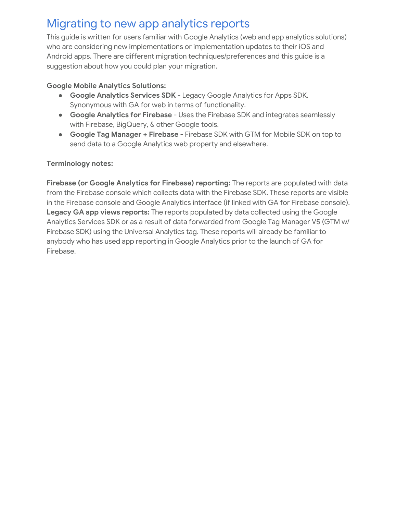# <span id="page-2-0"></span>Migrating to new app analytics reports

This guide is written for users familiar with Google Analytics (web and app analytics solutions) who are considering new implementations or implementation updates to their iOS and Android apps. There are different migration techniques/preferences and this guide is a suggestion about how you could plan your migration.

#### **Google Mobile Analytics Solutions:**

- **Google Analytics Services SDK** Legacy Google Analytics for Apps SDK. Synonymous with GA for web in terms of functionality.
- **Google Analytics for Firebase** Uses the Firebase SDK and integrates seamlessly with Firebase, BigQuery, & other Google tools.
- **Google Tag Manager + Firebase** Firebase SDK with GTM for Mobile SDK on top to send data to a Google Analytics web property and elsewhere.

#### **Terminology notes:**

**Firebase (or Google Analytics for Firebase) reporting:** The reports are populated with data from the Firebase console which collects data with the Firebase SDK. These reports are visible in the Firebase console and Google Analytics interface (if linked with GA for Firebase console). **Legacy GA app views reports:** The reports populated by data collected using the Google Analytics Services SDK or as a result of data forwarded from Google Tag Manager V5 (GTM w/ Firebase SDK) using the Universal Analytics tag. These reports will already be familiar to anybody who has used app reporting in Google Analytics prior to the launch of GA for Firebase.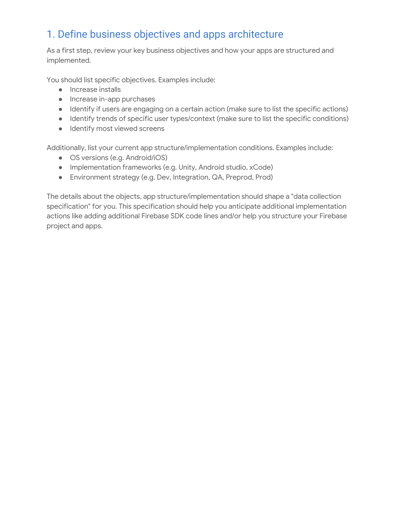# <span id="page-3-0"></span>1. Define business objectives and apps architecture

As a first step, review your key business objectives and how your apps are structured and implemented.

You should list specific objectives. Examples include:

- Increase installs
- Increase in-app purchases
- Identify if users are engaging on a certain action (make sure to list the specific actions)
- Identify trends of specific user types/context (make sure to list the specific conditions)
- Identify most viewed screens

Additionally, list your current app structure/implementation conditions. Examples include:

- OS versions (e.g. Android/iOS)
- Implementation frameworks (e.g. Unity, Android studio, xCode)
- Environment strategy (e.g. Dev, Integration, QA, Preprod, Prod)

The details about the objects, app structure/implementation should shape a "data collection specification" for you. This specification should help you anticipate additional implementation actions like adding additional Firebase SDK code lines and/or help you structure your Firebase project and apps.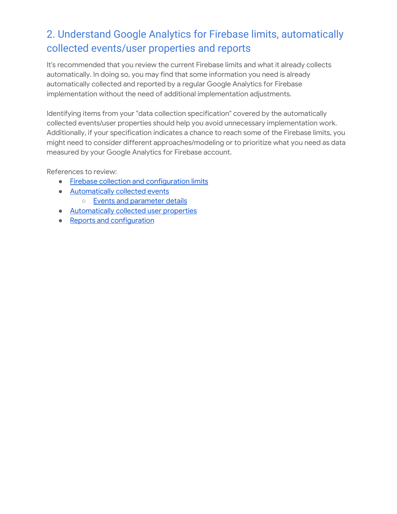# <span id="page-4-0"></span>2. Understand Google Analytics for Firebase limits, automatically collected events/user properties and reports

It's recommended that you review the current Firebase limits and what it already collects automatically. In doing so, you may find that some information you need is already automatically collected and reported by a regular Google Analytics for Firebase implementation without the need of additional implementation adjustments.

Identifying items from your "data collection specification" covered by the automatically collected events/user properties should help you avoid unnecessary implementation work. Additionally, if your specification indicates a chance to reach some of the Firebase limits, you might need to consider different approaches/modeling or to prioritize what you need as data measured by your Google Analytics for Firebase account.

References to review:

- Firebase collection and [configuration](https://support.google.com/firebase/answer/9237506) limits
- [Automatically](https://support.google.com/firebase/answer/6317485) collected events ○ Events and [parameter](https://support.google.com/firebase/answer/7061705) details
- [Automatically](https://support.google.com/firebase/answer/6317486) collected user properties
- Reports and [configuration](https://support.google.com/firebase/topic/6317489)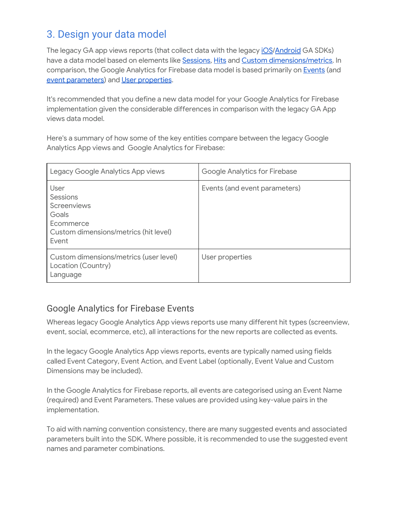# <span id="page-5-0"></span>3. Design your data model

The legacy GA app views reports (that collect data with the legacy [iOS](https://developers.google.com/analytics/devguides/collection/ios/v3/)[/Android](https://developers.google.com/analytics/devguides/collection/android/v4/) GA SDKs) have a data model based on elements like [Sessions,](https://support.google.com/analytics/answer/6086069) [Hits](https://support.google.com/analytics/answer/6086082) and Custom [dimensions/metrics.](https://support.google.com/analytics/answer/2709829) In comparison, the Google Analytics for Firebase data model is based primarily on [Events](https://support.google.com/firebase/answer/6317522) [\(and](https://support.google.com/firebase/answer/6317522) event [parameters](https://support.google.com/firebase/answer/7397304)) and User [properties](https://support.google.com/firebase/answer/6317519).

It's recommended that you define a new data model for your Google Analytics for Firebase implementation given the considerable differences in comparison with the legacy GA App views data model.

Here's a summary of how some of the key entities compare between the legacy Google Analytics App views and Google Analytics for Firebase:

| Legacy Google Analytics App views                                                                       | Google Analytics for Firebase |
|---------------------------------------------------------------------------------------------------------|-------------------------------|
| User<br>Sessions<br>Screenviews<br>Goals<br>Ecommerce<br>Custom dimensions/metrics (hit level)<br>Event | Events (and event parameters) |
| Custom dimensions/metrics (user level)<br>Location (Country)<br>Language                                | User properties               |

## <span id="page-5-1"></span>Google Analytics for Firebase Events

Whereas legacy Google Analytics App views reports use many different hit types (screenview, event, social, ecommerce, etc), all interactions for the new reports are collected as events.

In the legacy Google Analytics App views reports, events are typically named using fields called Event Category, Event Action, and Event Label (optionally, Event Value and Custom Dimensions may be included).

In the Google Analytics for Firebase reports, all events are categorised using an Event Name (required) and Event Parameters. These values are provided using key-value pairs in the implementation.

To aid with naming convention consistency, there are many suggested events and associated parameters built into the SDK. Where possible, it is recommended to use the suggested event names and parameter combinations.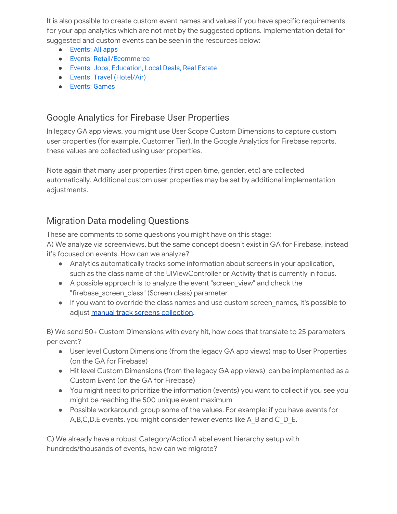It is also possible to create custom event names and values if you have specific requirements for your app analytics which are not met by the suggested options. Implementation detail for suggested and custom events can be seen in the resources below:

- [Events: All apps](https://support.google.com/firebase/answer/6317498?hl=en&ref_topic=6317484)
- [Events: Retail/Ecommerce](https://support.google.com/firebase/answer/6317499?hl=en&ref_topic=6317484)
- [Events: Jobs, Education, Local Deals, Real Estate](https://support.google.com/firebase/answer/6375140?hl=en&ref_topic=6317484)
- [Events: Travel \(Hotel/Air\)](https://support.google.com/firebase/answer/6317508?hl=en&ref_topic=6317484)
- [Events: Games](https://support.google.com/firebase/answer/6317494?hl=en&ref_topic=6317484)

## <span id="page-6-0"></span>Google Analytics for Firebase User Properties

In legacy GA app views, you might use User Scope Custom Dimensions to capture custom user properties (for example, Customer Tier). In the Google Analytics for Firebase reports, these values are collected using user properties.

Note again that many user properties (first open time, gender, etc) are collected automatically. Additional custom user properties may be set by additional implementation adjustments.

## <span id="page-6-1"></span>Migration Data modeling Questions

These are comments to some questions you might have on this stage:

A) We analyze via screenviews, but the same concept doesn't exist in GA for Firebase, instead it's focused on events. How can we analyze?

- Analytics automatically tracks some information about screens in your application, such as the class name of the UIViewController or Activity that is currently in focus.
- A possible approach is to analyze the event "screen\_view" and check the "firebase\_screen\_class" (Screen class) parameter
- If you want to override the class names and use custom screen\_names, it's possible to adjust manual track screens [collection.](https://firebase.google.com/docs/analytics/screenviews)

B) We send 50+ Custom Dimensions with every hit, how does that translate to 25 parameters per event?

- User level Custom Dimensions (from the legacy GA app views) map to User Properties (on the GA for Firebase)
- Hit level Custom Dimensions (from the legacy GA app views) can be implemented as a Custom Event (on the GA for Firebase)
- You might need to prioritize the information (events) you want to collect if you see you might be reaching the 500 unique event maximum
- Possible workaround: group some of the values. For example: if you have events for A, B, C, D, E events, you might consider fewer events like A\_B and C\_D\_E.

C) We already have a robust Category/Action/Label event hierarchy setup with hundreds/thousands of events, how can we migrate?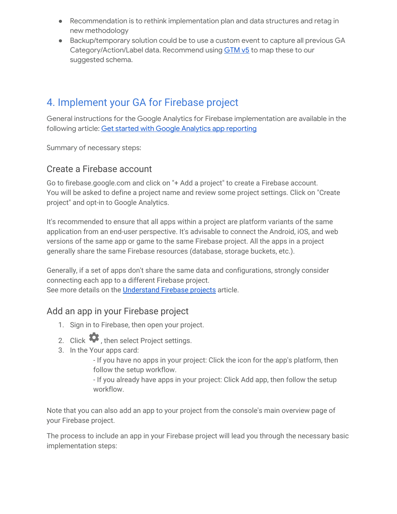- Recommendation is to rethink implementation plan and data structures and retag in new methodology
- Backup/temporary solution could be to use a custom event to capture all previous GA Category/Action/Label data. Recommend using **[GTM](https://developers.google.com/tag-manager/android/v5/) v5** to map these to our suggested schema.

# <span id="page-7-0"></span>4. Implement your GA for Firebase project

General instructions for the Google Analytics for Firebase implementation are available in the following article: Get started with Google Analytics app [reporting](https://support.google.com/firebase/answer/6317479)

<span id="page-7-1"></span>Summary of necessary steps:

### Create a Firebase account

Go to firebase.google.com and click on "+ Add a project" to create a Firebase account. You will be asked to define a project name and review some project settings. Click on "Create project" and opt-in to Google Analytics.

It's recommended to ensure that all apps within a project are platform variants of the same application from an end-user perspective. It's advisable to connect the Android, iOS, and web versions of the same app or game to the same Firebase project. All the apps in a project generally share the same Firebase resources (database, storage buckets, etc.).

Generally, if a set of apps don't share the same data and configurations, strongly consider connecting each app to a different Firebase project. See more details on the [Understand](https://firebase.google.com/docs/projects/learn-more) Firebase projects article.

## <span id="page-7-2"></span>Add an app in your Firebase project

- 1. Sign in to Firebase, then open your project.
- 2. Click  $\bullet$ , then select Project settings.
- 3. In the Your apps card:

- If you have no apps in your project: Click the icon for the app's platform, then follow the setup workflow.

- If you already have apps in your project: Click Add app, then follow the setup workflow.

Note that you can also add an app to your project from the console's main overview page of your Firebase project.

The process to include an app in your Firebase project will lead you through the necessary basic implementation steps: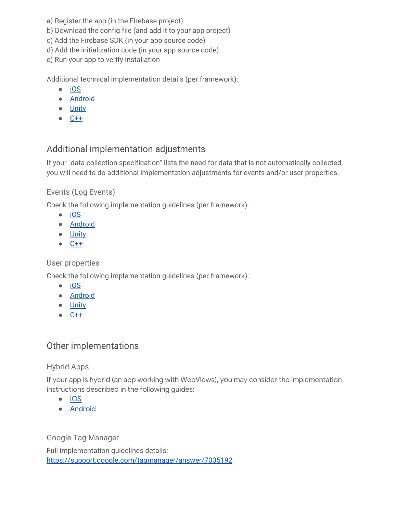- a) Register the app (in the Firebase project)
- b) Download the config file (and add it to your app project)
- c) Add the Firebase SDK (in your app source code)
- d) Add the initialization code (in your app source code)
- e) Run your app to verify installation

Additional technical implementation details (per framework):

- [iOS](https://firebase.google.com/docs/analytics/ios/start)
- [Android](https://firebase.google.com/docs/analytics/android/start)
- [Unity](https://firebase.google.com/docs/analytics/unity/start)
- [C++](https://firebase.google.com/docs/analytics/cpp/start)

## <span id="page-8-0"></span>Additional implementation adjustments

If your "data collection specification" lists the need for data that is not automatically collected, you will need to do additional implementation adjustments for events and/or user properties.

#### <span id="page-8-1"></span>Events (Log Events)

Check the following implementation guidelines (per framework):

- [iOS](https://firebase.google.com/docs/analytics/ios/events#log_events)
- [Android](https://firebase.google.com/docs/analytics/android/events#log_events)
- [Unity](https://firebase.google.com/docs/analytics/unity/events#log_events)
- $\bullet$   $C++$

#### <span id="page-8-2"></span>User properties

Check the following implementation guidelines (per framework):

- [iOS](https://firebase.google.com/docs/analytics/ios/properties#set_user_properties)
- [Android](https://firebase.google.com/docs/analytics/android/properties#set_user_properties)
- [Unity](https://firebase.google.com/docs/analytics/unity/properties#set_user_properties)
- [C++](https://firebase.google.com/docs/analytics/cpp/properties#set_user_properties)

## <span id="page-8-3"></span>Other implementations

#### <span id="page-8-4"></span>Hybrid Apps

If your app is hybrid (an app working with WebViews), you may consider the implementation instructions described in the following guides:

- [iOS](https://firebase.google.com/docs/analytics/ios/webview)
- [Android](https://firebase.google.com/docs/analytics/android/webview)

<span id="page-8-5"></span>Google Tag Manager

Full implementation guidelines details: <https://support.google.com/tagmanager/answer/7035192>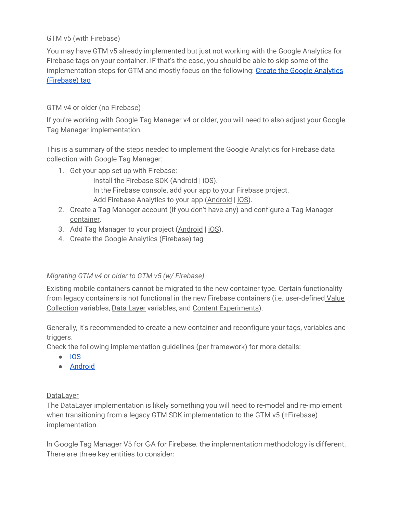<span id="page-9-0"></span>GTM v5 (with Firebase)

You may have GTM v5 already implemented but just not working with the Google Analytics for Firebase tags on your container. IF that's the case, you should be able to skip some of the implementation steps for GTM and mostly focus on the following: Create the Google [Analytics](https://support.google.com/tagmanager/answer/7035192#modify) [\(Firebase\)](https://support.google.com/tagmanager/answer/7035192#modify) tag

#### <span id="page-9-1"></span>GTM v4 or older (no Firebase)

If you're working with Google Tag Manager v4 or older, you will need to also adjust your Google Tag Manager implementation.

This is a summary of the steps needed to implement the Google Analytics for Firebase data collection with Google Tag Manager:

- 1. Get your app set up with Firebase:
	- Install the Firebase SDK [\(Android](https://firebase.google.com/docs/android/setup) | [iOS](https://firebase.google.com/docs/ios/setup)). In the [Firebase](https://console.firebase.google.com/) console, add your app to your Firebase project. Add Firebase Analytics to your app ([Android](https://firebase.google.com/docs/analytics/android/start) | [iOS\)](https://firebase.google.com/docs/analytics/ios/start).
- 2. Create a Tag [Manager](https://support.google.com/tagmanager/answer/6103696#CreatingAnAccount) account (if you don't have any) and [configure](https://support.google.com/tagmanager/answer/6103696#CreatingAnAccount) a Tag Manager [container.](https://support.google.com/tagmanager/answer/6103696#CreatingAnAccount)
- 3. Add Tag Manager to your project [\(Android](https://developers.google.com/tag-manager/android/v5/#add-gtm-to-project) | [iOS\)](https://developers.google.com/tag-manager/ios/v5/#add-gtm-to-project).
- 4. Create the Google Analytics [\(Firebase\)](https://support.google.com/tagmanager/answer/7035192#modify) tag

#### <span id="page-9-2"></span>*Migrating GTM v4 or older to GTM v5 (w/ Firebase)*

Existing mobile containers cannot be migrated to the new container type. Certain functionality from legacy containers is not functional in the new Firebase containers (i.e. user-defined [Value](https://support.google.com/tagmanager/answer/7683157#value_collection) [Collection](https://support.google.com/tagmanager/answer/7683157#value_collection) variables, Data [Layer](https://developers.google.com/android/reference/com/google/android/gms/tagmanager/DataLayer) variables, and Content [Experiments](https://support.google.com/tagmanager/answer/6003007)).

Generally, it's recommended to create a new container and reconfigure your tags, variables and triggers.

Check the following implementation guidelines (per framework) for more details:

- [iOS](https://developers.google.com/tag-manager/ios/v5/)
- [Android](https://developers.google.com/tag-manager/android/v5/)

#### DataLayer

The DataLayer implementation is likely something you will need to re-model and re-implement when transitioning from a legacy GTM SDK implementation to the GTM v5 (+Firebase) implementation.

In Google Tag Manager V5 for GA for Firebase, the implementation methodology is different. There are three key entities to consider: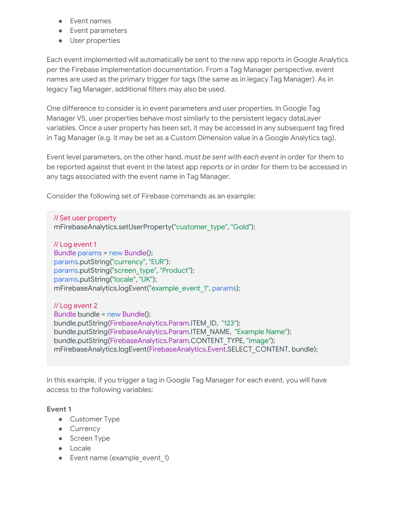- Event names
- Event parameters
- User properties

Each event implemented will automatically be sent to the new app reports in Google Analytics per the Firebase implementation documentation. From a Tag Manager perspective, event names are used as the primary trigger for tags (the same as in legacy Tag Manager). As in legacy Tag Manager, additional filters may also be used.

One difference to consider is in event parameters and user properties. In Google Tag Manager V5, user properties behave most similarly to the persistent legacy dataLayer variables. Once a user property has been set, it may be accessed in any subsequent tag fired in Tag Manager (e.g. it may be set as a Custom Dimension value in a Google Analytics tag).

Event level parameters, on the other hand, *must be sent with each event* in order for them to be reported against that event in the latest app reports or in order for them to be accessed in any tags associated with the event name in Tag Manager.

Consider the following set of Firebase commands as an example:

// Set user property mFirebaseAnalytics.setUserProperty("customer\_type", "Gold");

// Log event 1 Bundle params = new Bundle(); params.putString("currency", "EUR"); params.putString("screen\_type", "Product"); params.putString("locale", "UK"); mFirebaseAnalytics.logEvent("example\_event\_1", params);

// Log event 2 Bundle bundle = new Bundle(); bundle.putString(FirebaseAnalytics.Param.ITEM\_ID, "123"); bundle.putString(FirebaseAnalytics.Param.ITEM\_NAME, "Example Name"); bundle.putString(FirebaseAnalytics.Param.CONTENT\_TYPE, "image"); mFirebaseAnalytics.logEvent(FirebaseAnalytics.Event.SELECT\_CONTENT, bundle);

In this example, if you trigger a tag in Google Tag Manager for each event, you will have access to the following variables:

#### **Event 1**

- Customer Type
- Currency
- Screen Type
- Locale
- Event name (example event 1)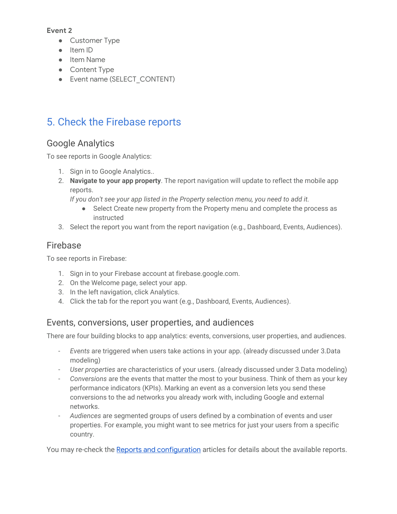#### **Event 2**

- Customer Type
- Item ID
- Item Name
- Content Type
- Event name (SELECT CONTENT)

# <span id="page-11-0"></span>5. Check the Firebase reports

## <span id="page-11-1"></span>Google Analytics

To see reports in Google Analytics:

- 1. [Sign in to Google Analytics..](https://analytics.google.com/)
- 2. **[Navigate to your app property](https://support.google.com/analytics/answer/6099198)**. The report navigation will update to reflect the mobile app reports.

*If you don't see your app listed in the Property selection menu, you need to add it.*

- Select Create new property from the Property menu and complete the process as instructed
- 3. Select the report you want from the report navigation (e.g., Dashboard, Events, Audiences).

## <span id="page-11-2"></span>Firebase

To see reports in Firebase:

- 1. Sign in to your Firebase account at firebase.google.com.
- 2. On the Welcome page, select your app.
- 3. In the left navigation, click Analytics.
- 4. Click the tab for the report you want (e.g., Dashboard, Events, Audiences).

### <span id="page-11-3"></span>Events, conversions, user properties, and audiences

There are four building blocks to app analytics: events, conversions, user properties, and audiences.

- *Events* are triggered when users take actions in your app. (already discussed under 3.Data modeling)
- *User properties* are characteristics of your users. (already discussed under 3.Data modeling)
- *Conversions* are the events that matter the most to your business. Think of them as your key performance indicators (KPIs). Marking an event as a conversion lets you send these conversions to the ad networks you already work with, including Google and external networks.
- *Audiences* are segmented groups of users defined by a combination of events and user properties. For example, you might want to see metrics for just your users from a specific country.

You may re-check the Reports and [configuration](https://support.google.com/firebase/topic/6317489) articles for details about the available reports.